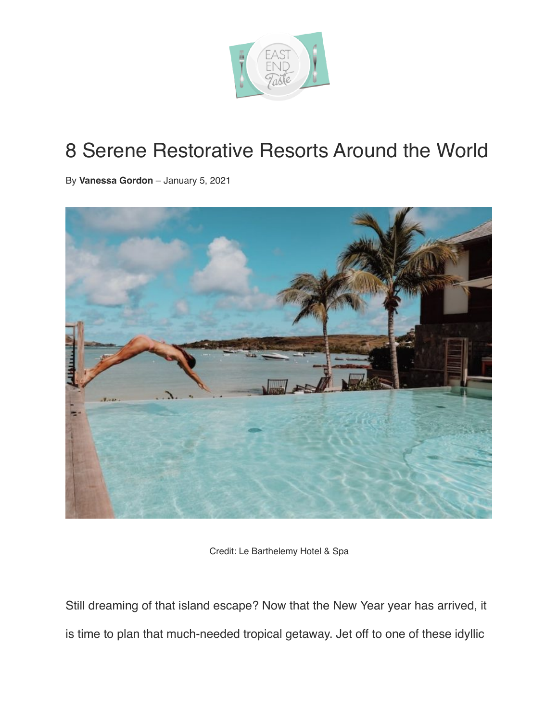

## 8 Serene Restorative Resorts Around the World

By **[Vanessa Gordon](https://eastendtastemagazine.com/author/vanessagordon/)** – January 5, 2021



Credit: Le Barthelemy Hotel & Spa

Still dreaming of that island escape? Now that the New Year year has arrived, it is time to plan that much-needed tropical getaway. Jet off to one of these idyllic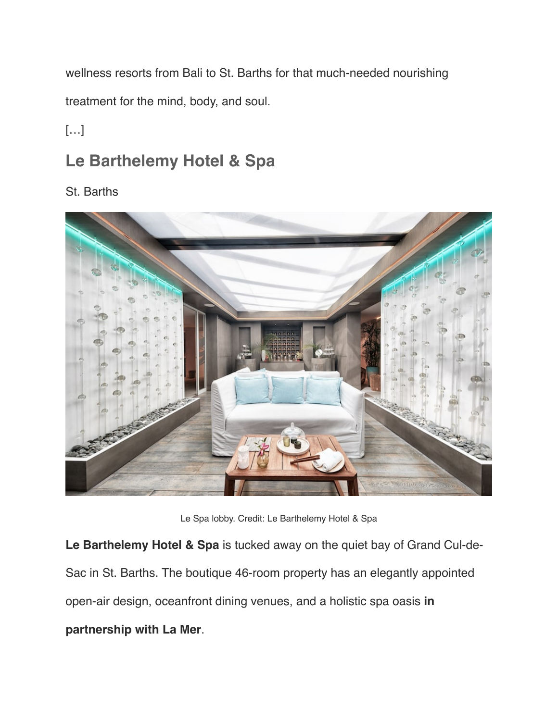wellness resorts from Bali to St. Barths for that much-needed nourishing

treatment for the mind, body, and soul.

 $[...]$ 

## **Le Barthelemy Hotel & Spa**

## St. Barths



Le Spa lobby. Credit: Le Barthelemy Hotel & Spa

**Le Barthelemy Hotel & Spa** is tucked away on the quiet bay of Grand Cul-de-Sac in St. Barths. The boutique 46-room property has an elegantly appointed open-air design, oceanfront dining venues, and a holistic spa oasis **in partnership with La Mer**.